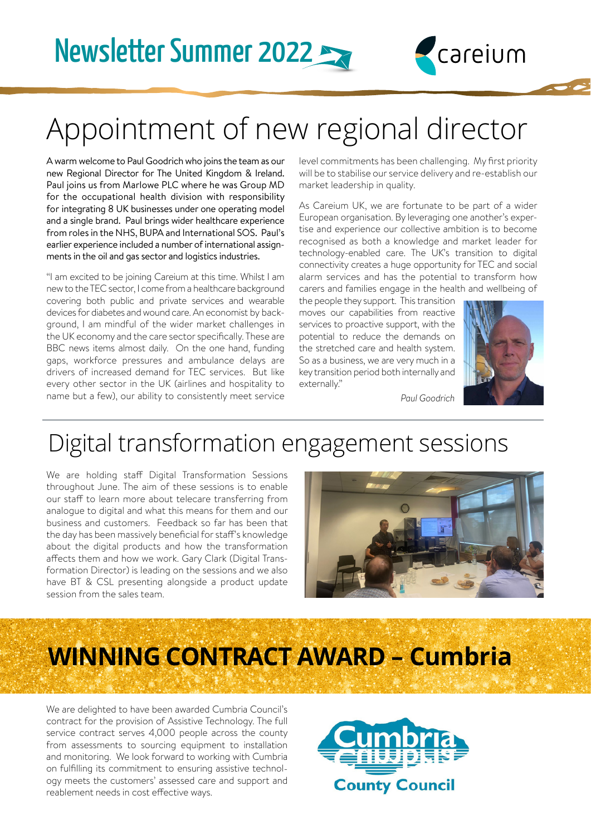# Appointment of new regional director

A warm welcome to Paul Goodrich who joins the team as our new Regional Director for The United Kingdom & Ireland. Paul joins us from Marlowe PLC where he was Group MD for the occupational health division with responsibility for integrating 8 UK businesses under one operating model and a single brand. Paul brings wider healthcare experience from roles in the NHS, BUPA and International SOS. Paul's earlier experience included a number of international assignments in the oil and gas sector and logistics industries.

"I am excited to be joining Careium at this time. Whilst I am new to the TEC sector, I come from a healthcare background covering both public and private services and wearable devices for diabetes and wound care. An economist by background, I am mindful of the wider market challenges in the UK economy and the care sector specifically. These are BBC news items almost daily. On the one hand, funding gaps, workforce pressures and ambulance delays are drivers of increased demand for TEC services. But like every other sector in the UK (airlines and hospitality to name but a few), our ability to consistently meet service level commitments has been challenging. My first priority will be to stabilise our service delivery and re-establish our market leadership in quality.

careium

As Careium UK, we are fortunate to be part of a wider European organisation. By leveraging one another's expertise and experience our collective ambition is to become recognised as both a knowledge and market leader for technology-enabled care. The UK's transition to digital connectivity creates a huge opportunity for TEC and social alarm services and has the potential to transform how carers and families engage in the health and wellbeing of

the people they support. This transition moves our capabilities from reactive services to proactive support, with the potential to reduce the demands on the stretched care and health system. So as a business, we are very much in a key transition period both internally and externally."



*Paul Goodrich*

## Digital transformation engagement sessions

We are holding staff Digital Transformation Sessions throughout June. The aim of these sessions is to enable our staff to learn more about telecare transferring from analogue to digital and what this means for them and our business and customers. Feedback so far has been that the day has been massively beneficial for staff's knowledge about the digital products and how the transformation affects them and how we work. Gary Clark (Digital Transformation Director) is leading on the sessions and we also have BT & CSL presenting alongside a product update session from the sales team.



# **WINNING CONTRACT AWARD – Cumbria**

We are delighted to have been awarded Cumbria Council's contract for the provision of Assistive Technology. The full service contract serves 4,000 people across the county from assessments to sourcing equipment to installation and monitoring. We look forward to working with Cumbria on fulfilling its commitment to ensuring assistive technology meets the customers' assessed care and support and reablement needs in cost effective ways.